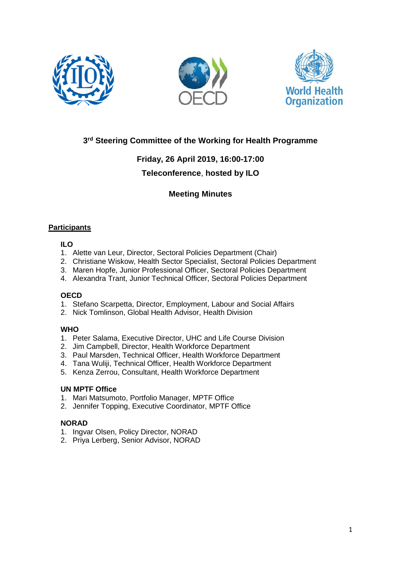





# **3 rd Steering Committee of the Working for Health Programme**

# **Friday, 26 April 2019, 16:00-17:00**

# **Teleconference**, **hosted by ILO**

# **Meeting Minutes**

# **Participants**

# **ILO**

- 1. Alette van Leur, Director, Sectoral Policies Department (Chair)
- 2. Christiane Wiskow, Health Sector Specialist, Sectoral Policies Department
- 3. Maren Hopfe, Junior Professional Officer, Sectoral Policies Department
- 4. Alexandra Trant, Junior Technical Officer, Sectoral Policies Department

# **OECD**

- 1. Stefano Scarpetta, Director, Employment, Labour and Social Affairs
- 2. Nick Tomlinson, Global Health Advisor, Health Division

# **WHO**

- 1. Peter Salama, Executive Director, UHC and Life Course Division
- 2. Jim Campbell, Director, Health Workforce Department
- 3. Paul Marsden, Technical Officer, Health Workforce Department
- 4. Tana Wuliji, Technical Officer, Health Workforce Department
- 5. Kenza Zerrou, Consultant, Health Workforce Department

# **UN MPTF Office**

- 1. Mari Matsumoto, Portfolio Manager, MPTF Office
- 2. Jennifer Topping, Executive Coordinator, MPTF Office

# **NORAD**

- 1. Ingvar Olsen, Policy Director, NORAD
- 2. Priya Lerberg, Senior Advisor, NORAD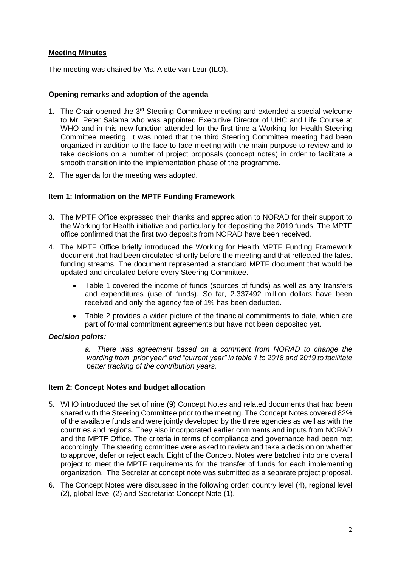## **Meeting Minutes**

The meeting was chaired by Ms. Alette van Leur (ILO).

## **Opening remarks and adoption of the agenda**

- 1. The Chair opened the  $3<sup>rd</sup>$  Steering Committee meeting and extended a special welcome to Mr. Peter Salama who was appointed Executive Director of UHC and Life Course at WHO and in this new function attended for the first time a Working for Health Steering Committee meeting. It was noted that the third Steering Committee meeting had been organized in addition to the face-to-face meeting with the main purpose to review and to take decisions on a number of project proposals (concept notes) in order to facilitate a smooth transition into the implementation phase of the programme.
- 2. The agenda for the meeting was adopted.

## **Item 1: Information on the MPTF Funding Framework**

- 3. The MPTF Office expressed their thanks and appreciation to NORAD for their support to the Working for Health initiative and particularly for depositing the 2019 funds. The MPTF office confirmed that the first two deposits from NORAD have been received.
- 4. The MPTF Office briefly introduced the Working for Health MPTF Funding Framework document that had been circulated shortly before the meeting and that reflected the latest funding streams. The document represented a standard MPTF document that would be updated and circulated before every Steering Committee.
	- Table 1 covered the income of funds (sources of funds) as well as any transfers and expenditures (use of funds). So far, 2.337492 million dollars have been received and only the agency fee of 1% has been deducted.
	- Table 2 provides a wider picture of the financial commitments to date, which are part of formal commitment agreements but have not been deposited yet.

## *Decision points:*

*a. There was agreement based on a comment from NORAD to change the wording from "prior year" and "current year" in table 1 to 2018 and 2019 to facilitate better tracking of the contribution years.* 

## **Item 2: Concept Notes and budget allocation**

- 5. WHO introduced the set of nine (9) Concept Notes and related documents that had been shared with the Steering Committee prior to the meeting. The Concept Notes covered 82% of the available funds and were jointly developed by the three agencies as well as with the countries and regions. They also incorporated earlier comments and inputs from NORAD and the MPTF Office. The criteria in terms of compliance and governance had been met accordingly. The steering committee were asked to review and take a decision on whether to approve, defer or reject each. Eight of the Concept Notes were batched into one overall project to meet the MPTF requirements for the transfer of funds for each implementing organization. The Secretariat concept note was submitted as a separate project proposal.
- 6. The Concept Notes were discussed in the following order: country level (4), regional level (2), global level (2) and Secretariat Concept Note (1).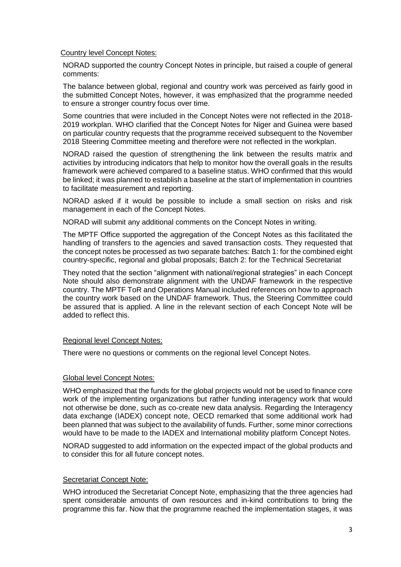#### Country level Concept Notes:

NORAD supported the country Concept Notes in principle, but raised a couple of general comments:

The balance between global, regional and country work was perceived as fairly good in the submitted Concept Notes, however, it was emphasized that the programme needed to ensure a stronger country focus over time.

Some countries that were included in the Concept Notes were not reflected in the 2018- 2019 workplan. WHO clarified that the Concept Notes for Niger and Guinea were based on particular country requests that the programme received subsequent to the November 2018 Steering Committee meeting and therefore were not reflected in the workplan.

NORAD raised the question of strengthening the link between the results matrix and activities by introducing indicators that help to monitor how the overall goals in the results framework were achieved compared to a baseline status. WHO confirmed that this would be linked; it was planned to establish a baseline at the start of implementation in countries to facilitate measurement and reporting.

NORAD asked if it would be possible to include a small section on risks and risk management in each of the Concept Notes.

NORAD will submit any additional comments on the Concept Notes in writing.

The MPTF Office supported the aggregation of the Concept Notes as this facilitated the handling of transfers to the agencies and saved transaction costs. They requested that the concept notes be processed as two separate batches: Batch 1: for the combined eight country-specific, regional and global proposals; Batch 2: for the Technical Secretariat

They noted that the section "alignment with national/regional strategies" in each Concept Note should also demonstrate alignment with the UNDAF framework in the respective country. The MPTF ToR and Operations Manual included references on how to approach the country work based on the UNDAF framework. Thus, the Steering Committee could be assured that is applied. A line in the relevant section of each Concept Note will be added to reflect this.

## Regional level Concept Notes:

There were no questions or comments on the regional level Concept Notes.

#### Global level Concept Notes:

WHO emphasized that the funds for the global projects would not be used to finance core work of the implementing organizations but rather funding interagency work that would not otherwise be done, such as co-create new data analysis. Regarding the Interagency data exchange (IADEX) concept note, OECD remarked that some additional work had been planned that was subject to the availability of funds. Further, some minor corrections would have to be made to the IADEX and International mobility platform Concept Notes.

NORAD suggested to add information on the expected impact of the global products and to consider this for all future concept notes.

## Secretariat Concept Note:

WHO introduced the Secretariat Concept Note, emphasizing that the three agencies had spent considerable amounts of own resources and in-kind contributions to bring the programme this far. Now that the programme reached the implementation stages, it was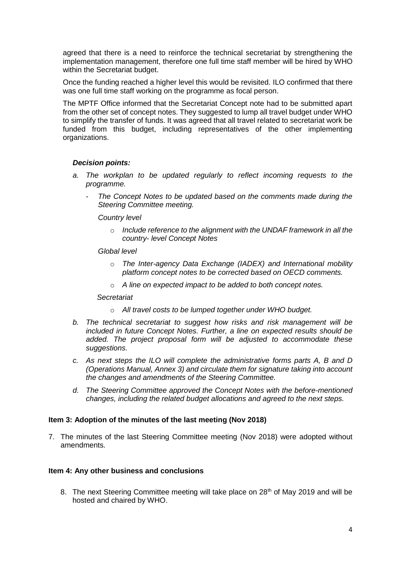agreed that there is a need to reinforce the technical secretariat by strengthening the implementation management, therefore one full time staff member will be hired by WHO within the Secretariat budget.

Once the funding reached a higher level this would be revisited. ILO confirmed that there was one full time staff working on the programme as focal person.

The MPTF Office informed that the Secretariat Concept note had to be submitted apart from the other set of concept notes. They suggested to lump all travel budget under WHO to simplify the transfer of funds. It was agreed that all travel related to secretariat work be funded from this budget, including representatives of the other implementing organizations.

## *Decision points:*

- *a. The workplan to be updated regularly to reflect incoming requests to the programme.*
	- *The Concept Notes to be updated based on the comments made during the Steering Committee meeting.*

#### *Country level*

o *Include reference to the alignment with the UNDAF framework in all the country- level Concept Notes*

#### *Global level*

- o *The Inter-agency Data Exchange (IADEX) and International mobility platform concept notes to be corrected based on OECD comments.*
- o *A line on expected impact to be added to both concept notes.*

#### *Secretariat*

- o *All travel costs to be lumped together under WHO budget.*
- *b. The technical secretariat to suggest how risks and risk management will be included in future Concept Notes. Further, a line on expected results should be added. The project proposal form will be adjusted to accommodate these suggestions.*
- *c. As next steps the ILO will complete the administrative forms parts A, B and D (Operations Manual, Annex 3) and circulate them for signature taking into account the changes and amendments of the Steering Committee.*
- *d. The Steering Committee approved the Concept Notes with the before-mentioned changes, including the related budget allocations and agreed to the next steps.*

#### **Item 3: Adoption of the minutes of the last meeting (Nov 2018)**

7. The minutes of the last Steering Committee meeting (Nov 2018) were adopted without amendments.

#### **Item 4: Any other business and conclusions**

8. The next Steering Committee meeting will take place on 28<sup>th</sup> of May 2019 and will be hosted and chaired by WHO.